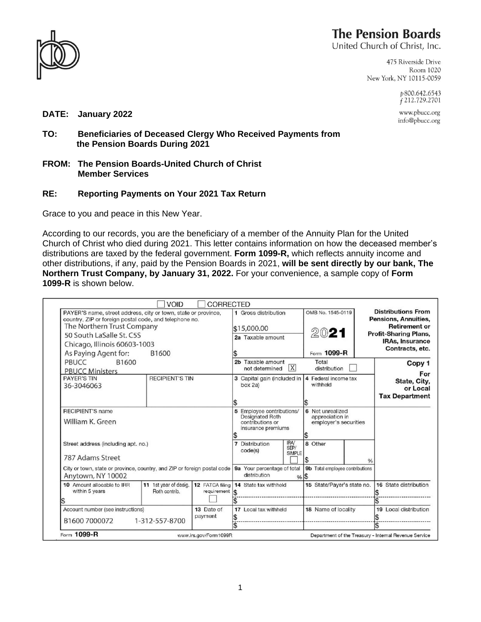

## **The Pension Boards**

United Church of Christ, Inc.

475 Riverside Drive Room 1020 New York, NY 10115-0059

> p800.642.6543  $f$  212.729.2701

www.pbucc.org info@pbucc.org

**DATE: January 2022**

- **TO: Beneficiaries of Deceased Clergy Who Received Payments from the Pension Boards During 2021**
- **FROM: The Pension Boards-United Church of Christ Member Services**

## **RE: Reporting Payments on Your 2021 Tax Return**

Grace to you and peace in this New Year.

According to our records, you are the beneficiary of a member of the Annuity Plan for the United Church of Christ who died during 2021. This letter contains information on how the deceased member's distributions are taxed by the federal government. **Form 1099-R,** which reflects annuity income and other distributions, if any, paid by the Pension Boards in 2021, **will be sent directly by our bank, The Northern Trust Company, by January 31, 2022.** For your convenience, a sample copy of **Form 1099-R** is shown below.

| VOID<br><b>CORRECTED</b><br>PAYER'S name, street address, city or town, state or province,<br>country, ZIP or foreign postal code, and telephone no.<br>The Northern Trust Company<br>50 South LaSalle St. C5S<br>Chicago, Illinois 60603-1003<br>As Paying Agent for:<br>B1600 |                                        |                                        | 1 Gross distribution<br>\$15,000.00<br>2a Taxable amount                                      | OMB No. 1545-0119<br>2021<br>Form 1099-R                            | <b>Distributions From</b><br>Pensions, Annuities,<br><b>Retirement or</b><br><b>Profit-Sharing Plans,</b><br><b>IRAs, Insurance</b><br>Contracts, etc. |
|---------------------------------------------------------------------------------------------------------------------------------------------------------------------------------------------------------------------------------------------------------------------------------|----------------------------------------|----------------------------------------|-----------------------------------------------------------------------------------------------|---------------------------------------------------------------------|--------------------------------------------------------------------------------------------------------------------------------------------------------|
| PBUCC<br>B1600<br><b>PBUCC Ministers</b>                                                                                                                                                                                                                                        |                                        |                                        | 2b Taxable amount<br> X <br>not determined                                                    | Total<br>distribution                                               | Copy 1<br>For                                                                                                                                          |
| <b>PAYER'S TIN</b><br>36-3046063                                                                                                                                                                                                                                                | <b>RECIPIENT'S TIN</b>                 |                                        | 3 Capital gain (included in<br>box 2a)                                                        | 4 Federal income tax<br>withheld                                    | State, City,<br>or Local<br><b>Tax Department</b>                                                                                                      |
| <b>RECIPIENT'S name</b><br>William K. Green                                                                                                                                                                                                                                     |                                        |                                        | 5 Employee contributions/<br><b>Designated Roth</b><br>contributions or<br>insurance premiums | 6 Net unrealized<br>appreciation in<br>employer's securities<br>l\$ |                                                                                                                                                        |
| Street address (including apt. no.)<br>787 Adams Street                                                                                                                                                                                                                         |                                        |                                        | <b>IRA/</b><br>Distribution<br>$\overline{7}$<br>SEP/<br>code(s)<br><b>SIMPLE</b>             | 8 Other                                                             | ℅                                                                                                                                                      |
| City or town, state or province, country, and ZIP or foreign postal code   9a Your percentage of total<br>Anytown, NY 10002                                                                                                                                                     |                                        |                                        | distribution                                                                                  | 9b Total employee contributions<br>%5                               |                                                                                                                                                        |
| 10 Amount allocable to IRR<br>within 5 years                                                                                                                                                                                                                                    | 11 1st year of desig.<br>Roth contrib. | 12 FATCA filing<br>$requirement$ $\$\$ | 14 State tax withheld                                                                         | 15 State/Payer's state no.                                          | 16 State distribution                                                                                                                                  |
| Account number (see instructions)<br>13 Date of<br>payment<br>B1600 7000072<br>1-312-557-8700                                                                                                                                                                                   |                                        |                                        | 17 Local tax withheld                                                                         | 18 Name of locality                                                 | 19 Local distribution                                                                                                                                  |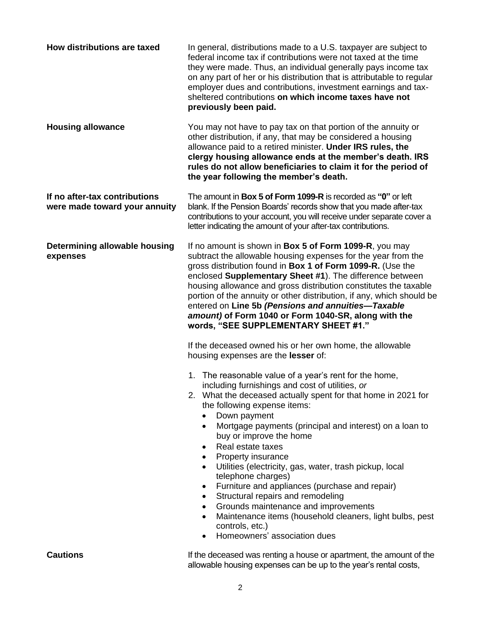| How distributions are taxed                                    | In general, distributions made to a U.S. taxpayer are subject to<br>federal income tax if contributions were not taxed at the time<br>they were made. Thus, an individual generally pays income tax<br>on any part of her or his distribution that is attributable to regular<br>employer dues and contributions, investment earnings and tax-<br>sheltered contributions on which income taxes have not<br>previously been paid.                                                                                                                                                                                                                                                                                                                                                                                                                                             |  |
|----------------------------------------------------------------|-------------------------------------------------------------------------------------------------------------------------------------------------------------------------------------------------------------------------------------------------------------------------------------------------------------------------------------------------------------------------------------------------------------------------------------------------------------------------------------------------------------------------------------------------------------------------------------------------------------------------------------------------------------------------------------------------------------------------------------------------------------------------------------------------------------------------------------------------------------------------------|--|
| <b>Housing allowance</b>                                       | You may not have to pay tax on that portion of the annuity or<br>other distribution, if any, that may be considered a housing<br>allowance paid to a retired minister. Under IRS rules, the<br>clergy housing allowance ends at the member's death. IRS<br>rules do not allow beneficiaries to claim it for the period of<br>the year following the member's death.                                                                                                                                                                                                                                                                                                                                                                                                                                                                                                           |  |
| If no after-tax contributions<br>were made toward your annuity | The amount in Box 5 of Form 1099-R is recorded as "0" or left<br>blank. If the Pension Boards' records show that you made after-tax<br>contributions to your account, you will receive under separate cover a<br>letter indicating the amount of your after-tax contributions.                                                                                                                                                                                                                                                                                                                                                                                                                                                                                                                                                                                                |  |
| Determining allowable housing<br>expenses                      | If no amount is shown in <b>Box 5 of Form 1099-R</b> , you may<br>subtract the allowable housing expenses for the year from the<br>gross distribution found in Box 1 of Form 1099-R. (Use the<br>enclosed Supplementary Sheet #1). The difference between<br>housing allowance and gross distribution constitutes the taxable<br>portion of the annuity or other distribution, if any, which should be<br>entered on Line 5b (Pensions and annuities-Taxable<br>amount) of Form 1040 or Form 1040-SR, along with the<br>words, "SEE SUPPLEMENTARY SHEET #1."<br>If the deceased owned his or her own home, the allowable<br>housing expenses are the lesser of:<br>1. The reasonable value of a year's rent for the home,<br>including furnishings and cost of utilities, or<br>2. What the deceased actually spent for that home in 2021 for<br>the following expense items: |  |
|                                                                | Down payment<br>Mortgage payments (principal and interest) on a loan to<br>$\bullet$<br>buy or improve the home<br>Real estate taxes<br>$\bullet$<br>Property insurance<br>Utilities (electricity, gas, water, trash pickup, local<br>telephone charges)<br>Furniture and appliances (purchase and repair)<br>$\bullet$<br>Structural repairs and remodeling<br>$\bullet$<br>Grounds maintenance and improvements<br>$\bullet$                                                                                                                                                                                                                                                                                                                                                                                                                                                |  |
|                                                                | Maintenance items (household cleaners, light bulbs, pest<br>$\bullet$<br>controls, etc.)<br>Homeowners' association dues<br>$\bullet$                                                                                                                                                                                                                                                                                                                                                                                                                                                                                                                                                                                                                                                                                                                                         |  |
| <b>Cautions</b>                                                | If the deceased was renting a house or apartment, the amount of the<br>allowable housing expenses can be up to the year's rental costs,                                                                                                                                                                                                                                                                                                                                                                                                                                                                                                                                                                                                                                                                                                                                       |  |

2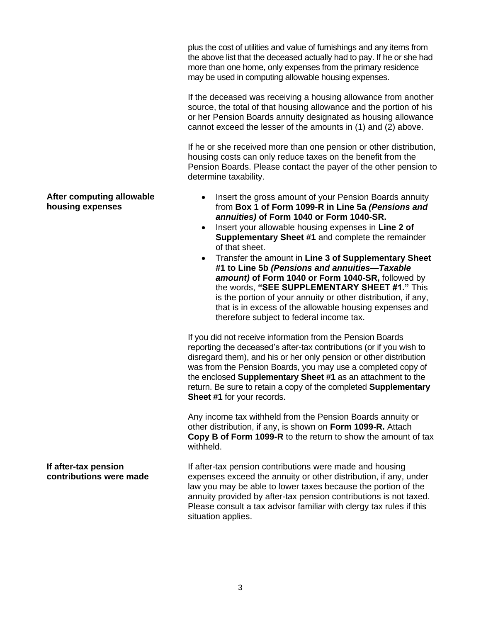plus the cost of utilities and value of furnishings and any items from the above list that the deceased actually had to pay. If he or she had more than one home, only expenses from the primary residence may be used in computing allowable housing expenses.

If the deceased was receiving a housing allowance from another source, the total of that housing allowance and the portion of his or her Pension Boards annuity designated as housing allowance cannot exceed the lesser of the amounts in (1) and (2) above.

If he or she received more than one pension or other distribution, housing costs can only reduce taxes on the benefit from the Pension Boards. Please contact the payer of the other pension to determine taxability.

- Insert the gross amount of your Pension Boards annuity from **Box 1 of Form 1099-R in Line 5a** *(Pensions and annuities)* **of Form 1040 or Form 1040-SR.**
- Insert your allowable housing expenses in **Line 2 of Supplementary Sheet #1** and complete the remainder of that sheet.
- Transfer the amount in **Line 3 of Supplementary Sheet #1 to Line 5b** *(Pensions and annuities—Taxable amount)* **of Form 1040 or Form 1040-SR,** followed by the words, **"SEE SUPPLEMENTARY SHEET #1."** This is the portion of your annuity or other distribution, if any, that is in excess of the allowable housing expenses and therefore subject to federal income tax.

If you did not receive information from the Pension Boards reporting the deceased's after-tax contributions (or if you wish to disregard them), and his or her only pension or other distribution was from the Pension Boards, you may use a completed copy of the enclosed **Supplementary Sheet #1** as an attachment to the return. Be sure to retain a copy of the completed **Supplementary Sheet #1** for your records.

Any income tax withheld from the Pension Boards annuity or other distribution, if any, is shown on **Form 1099-R.** Attach **Copy B of Form 1099-R** to the return to show the amount of tax withheld.

**If after-tax pension contributions were made** If after-tax pension contributions were made and housing expenses exceed the annuity or other distribution, if any, under law you may be able to lower taxes because the portion of the annuity provided by after-tax pension contributions is not taxed. Please consult a tax advisor familiar with clergy tax rules if this situation applies.

## **After computing allowable housing expenses**